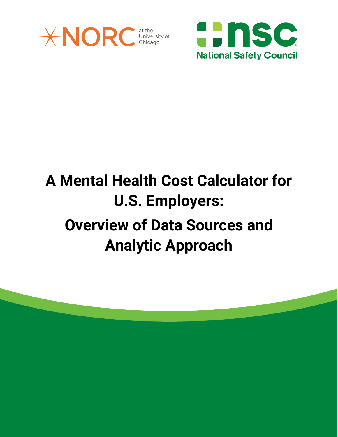



# **A Mental Health Cost Calculator for U.S. Employers: Overview of Data Sources and Analytic Approach**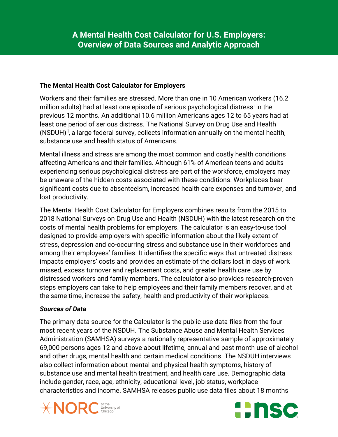### **The Mental Health Cost Calculator for Employers**

Workers and their families are stressed. More than one in 10 American workers (16.2 m[i](#page-3-0)llion adults) had at least one episode of serious psychological distress<sup>i</sup> in the previous 12 months. An additional 10.6 million Americans ages 12 to 65 years had at least one period of serious distress. The National Survey on Drug Use and Health  $(NSDUH)^{ii}$ , a large federal survey, collects information annually on the mental health, substance use and health status of Americans.

Mental illness and stress are among the most common and costly health conditions affecting Americans and their families. Although 61% of American teens and adults experiencing serious psychological distress are part of the workforce, employers may be unaware of the hidden costs associated with these conditions. Workplaces bear significant costs due to absenteeism, increased health care expenses and turnover, and lost productivity.

The Mental Health Cost Calculator for Employers combines results from the 2015 to 2018 National Surveys on Drug Use and Health (NSDUH) with the latest research on the costs of mental health problems for employers. The calculator is an easy-to-use tool designed to provide employers with specific information about the likely extent of stress, depression and co-occurring stress and substance use in their workforces and among their employees' families. It identifies the specific ways that untreated distress impacts employers' costs and provides an estimate of the dollars lost in days of work missed, excess turnover and replacement costs, and greater health care use by distressed workers and family members. The calculator also provides research-proven steps employers can take to help employees and their family members recover, and at the same time, increase the safety, health and productivity of their workplaces.

# *Sources of Data*

The primary data source for the Calculator is the public use data files from the four most recent years of the NSDUH. The Substance Abuse and Mental Health Services Administration (SAMHSA) surveys a nationally representative sample of approximately 69,000 persons ages 12 and above about lifetime, annual and past month use of alcohol and other drugs, mental health and certain medical conditions. The NSDUH interviews also collect information about mental and physical health symptoms, history of substance use and mental health treatment, and health care use. Demographic data include gender, race, age, ethnicity, educational level, job status, workplace characteristics and income. SAMHSA releases public use data files about 18 months



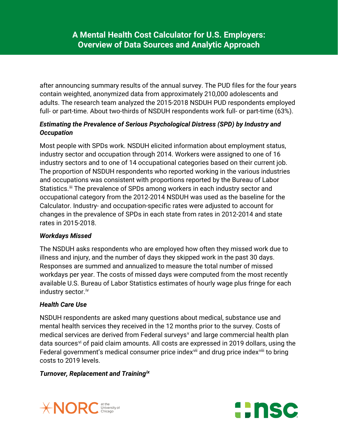after announcing summary results of the annual survey. The PUD files for the four years contain weighted, anonymized data from approximately 210,000 adolescents and adults. The research team analyzed the 2015-2018 NSDUH PUD respondents employed full- or part-time. About two-thirds of NSDUH respondents work full- or part-time (63%).

## *Estimating the Prevalence of Serious Psychological Distress (SPD) by Industry and Occupation*

Most people with SPDs work. NSDUH elicited information about employment status, industry sector and occupation through 2014. Workers were assigned to one of 16 industry sectors and to one of 14 occupational categories based on their current job. The proportion of NSDUH respondents who reported working in the various industries and occupations was consistent with proportions reported by the Bureau of Labor Statistics.<sup>[iii](#page-3-2)</sup> The prevalence of SPDs among workers in each industry sector and occupational category from the 2012-2014 NSDUH was used as the baseline for the Calculator. Industry- and occupation-specific rates were adjusted to account for changes in the prevalence of SPDs in each state from rates in 2012-2014 and state rates in 2015-2018.

# *Workdays Missed*

The NSDUH asks respondents who are employed how often they missed work due to illness and injury, and the number of days they skipped work in the past 30 days. Responses are summed and annualized to measure the total number of missed workdays per year. The costs of missed days were computed from the most recently available U.S. Bureau of Labor Statistics estimates of hourly wage plus fringe for each industry sector.<sup>iv</sup>

#### *Health Care Use*

NSDUH respondents are asked many questions about medical, substance use and mental health services they received in the 12 months prior to the survey. Costs of medical ser[v](#page-3-4)ices are derived from Federal surveys<sup>v</sup> and large commercial health plan data sources<sup>[vi](#page-3-5)</sup> of paid claim amounts. All costs are expressed in 2019 dollars, using the Federal government's medical consumer price index<sup>[vii](#page-3-6)</sup> and drug price index<sup>[viii](#page-3-7)</sup> to bring costs to 2019 levels.

#### *Turnover, Replacement and Training[ix](#page-4-0)*



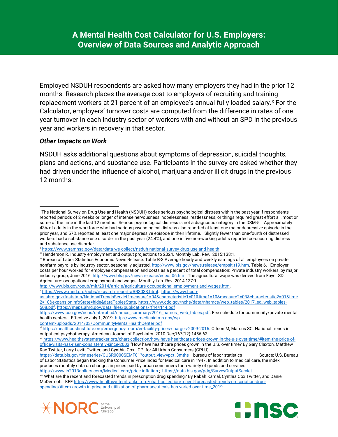Employed NSDUH respondents are asked how many employers they had in the prior 12 months. Research places the average cost to employers of recruiting and training replacement workers at 21 percent of an employee's annual fully loaded salary.<sup>[x](#page-4-1)</sup> For the Calculator, employers' turnover costs are computed from the difference in rates of one year turnover in each industry sector of workers with and without an SPD in the previous year and workers in recovery in that sector.

#### *Other Impacts on Work*

NSDUH asks additional questions about symptoms of depression, suicidal thoughts, plans and actions, and substance use. Participants in the survey are asked whether they had driven under the influence of alcohol, marijuana and/or illicit drugs in the previous 12 months.

<span id="page-3-7"></span>viii What are the recent and forecasted trends in prescription drug spending? By Rabah Kamal, Cynthia Cox Twitter, and Daniel McDermott KFF [https://www.healthsystemtracker.org/chart-collection/recent-forecasted-trends-prescription-drug](https://www.healthsystemtracker.org/chart-collection/recent-forecasted-trends-prescription-drug-spending/#item-growth-in-price-and-utilization-of-pharmaceuticals-has-varied-over-time_2019)[spending/#item-growth-in-price-and-utilization-of-pharmaceuticals-has-varied-over-time\\_2019](https://www.healthsystemtracker.org/chart-collection/recent-forecasted-trends-prescription-drug-spending/#item-growth-in-price-and-utilization-of-pharmaceuticals-has-varied-over-time_2019)





<span id="page-3-0"></span><sup>i</sup> The National Survey on Drug Use and Health (NSDUH) codes serious psychological distress within the past year if respondents reported periods of 2 weeks or longer of intense nervousness, hopelessness, restlessness, or things required great effort all, most or some of the time in the last 12 months. Serious psychological distress is not a diagnostic category in the DSM-5. Approximately 43% of adults in the workforce who had serious psychological distress also reported at least one major depressive episode in the prior year, and 57% reported at least one major depressive episode in their lifetime. Slightly fewer than one-fourth of distressed workers had a substance use disorder in the past year (24.4%), and one in five non-working adults reported co-occurring distress and substance use disorder. l

ii <https://www.samhsa.gov/data/data-we-collect/nsduh-national-survey-drug-use-and-health>

<span id="page-3-2"></span><span id="page-3-1"></span>iii Henderson R. Industry employment and output projections to 2024. Monthly Lab. Rev. 2015:138:1.

<span id="page-3-3"></span>iv Bureau of Labor Statistics Economic News Release: Table B-3 Average hourly and weekly earnings of all employees on private nonfarm payrolls by industry sector, seasonally adjusted[. http://www.bls.gov/news.release/empsit.t19.htm.](http://www.bls.gov/news.release/empsit.t19.htm) Table 6. Employer costs per hour worked for employee compensation and costs as a percent of total compensation: Private industry workers, by major industry group, June 2016<http://www.bls.gov/news.release/ecec.t06.htm>The agricultural wage was derived from Fayer SD. Agriculture: occupational employment and wages. Monthly Lab. Rev. 2014;137:1.<br>http://www.bls.gov/opub/mlr/2014/article/agriculture-occupational-employment-and-wages.htm.

<span id="page-3-4"></span>vhttps://www.rand.org/pubs/research\_reports/RR3033.html.https://www.hcup-

[us.ahrq.gov/faststats/NationalTrendsServlet?measure1=04&characteristic1=01&time1=10&measure2=03&characteristic2=01&time](https://www.hcup-us.ahrq.gov/faststats/NationalTrendsServlet?measure1=04&characteristic1=01&time1=10&measure2=03&characteristic2=01&time2=10&expansionInfoState=hide&dataTablesState) [2=10&expansionInfoState=hide&dataTablesState.](https://www.hcup-us.ahrq.gov/faststats/NationalTrendsServlet?measure1=04&characteristic1=01&time1=10&measure2=03&characteristic2=01&time2=10&expansionInfoState=hide&dataTablesState) [https://www.cdc.gov/nchs/data/nhamcs/web\\_tables/2017\\_ed\\_web\\_tables-](https://www.cdc.gov/nchs/data/nhamcs/web_tables/2017_ed_web_tables-508.pdf)[508.pdf.](https://www.cdc.gov/nchs/data/nhamcs/web_tables/2017_ed_web_tables-508.pdf) [https://meps.ahrq.gov/data\\_files/publications/rf44/rf44.pdf](https://meps.ahrq.gov/data_files/publications/rf44/rf44.pdf)

[https://www.cdc.gov/nchs/data/ahcd/namcs\\_summary/2016\\_namcs\\_ web\\_tables.pdf.](https://www.cdc.gov/nchs/data/ahcd/namcs_summary/2016_namcs_%20web_tables.pdf) Fee schedule for community/private mental health centers. Effective July 1, 2019[. http://www.medicaid.ms.gov/wp-](http://www.medicaid.ms.gov/wp-content/uploads/2014/03/CommunityMentalHealthCenter.pdf)

[content/uploads/2014/03/CommunityMentalHealthCenter.pdf](http://www.medicaid.ms.gov/wp-content/uploads/2014/03/CommunityMentalHealthCenter.pdf)

<span id="page-3-5"></span>vi [https://healthcostinstitute.org/emergency-room/er-facility-prices-charges-2009-2016.](https://healthcostinstitute.org/emergency-room/er-facility-prices-charges-2009-2016) Olfson M, Marcus SC. National trends in outpatient psychotherapy. American Journal of Psychiatry. 2010 Dec;167(12):1456-63.

<span id="page-3-6"></span>vii [https://www.healthsystemtracker.org/chart-collection/how-have-healthcare-prices-grown-in-the-u-s-over-time/#item-the-price-of](https://www.healthsystemtracker.org/chart-collection/how-have-healthcare-prices-grown-in-the-u-s-over-time/#item-the-price-of-office-visits-has-risen-consistently-since-2003)[office-visits-has-risen-consistently-since-2003](https://www.healthsystemtracker.org/chart-collection/how-have-healthcare-prices-grown-in-the-u-s-over-time/#item-the-price-of-office-visits-has-risen-consistently-since-2003) "How have healthcare prices grown in the U.S. over time? By Gary Claxton, Matthew Rae Twitter, Larry Levitt Twitter, and Cynthia Cox CPI for All Urban Consumers (CPI-U)

[https://data.bls.gov/timeseries/CUSR0000SEMF01?output\\_view=pct\\_3mths](https://data.bls.gov/timeseries/CUSR0000SEMF01?output_view=pct_3mths) bureau of labor statistics Source: U.S. Bureau of Labor Statistics began tracking the Consumer Price Index for Medical care in 1947. In addition to medical care, the index produces monthly data on changes in prices paid by urban consumers for a variety of goods and services. <https://www.in2013dollars.com/Medical-care/price-inflation> ;<https://data.bls.gov/pdq/SurveyOutputServlet>